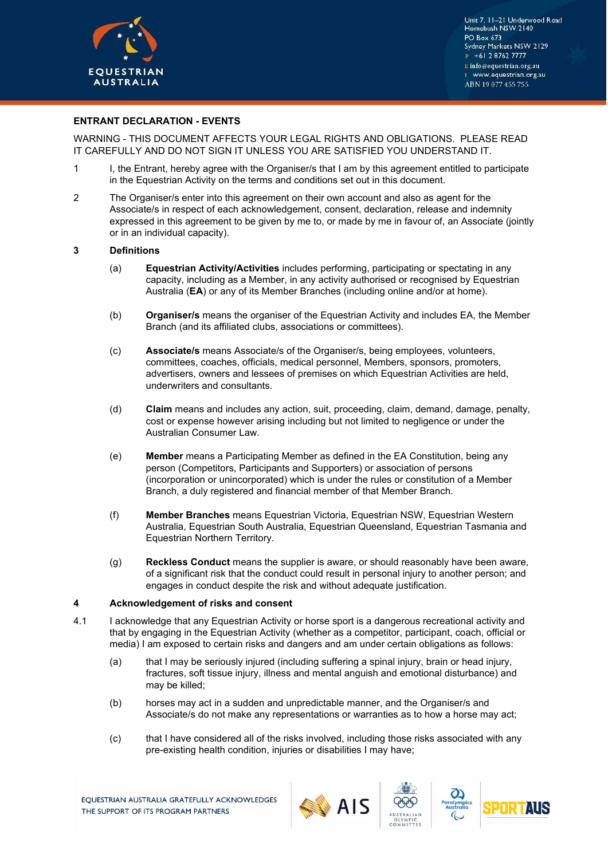

# **ENTRANT DECLARATION - EVENTS**

WARNING - THIS DOCUMENT AFFECTS YOUR LEGAL RIGHTS AND OBLIGATIONS. PLEASE READ IT CAREFULLY AND DO NOT SIGN IT UNLESS YOU ARE SATISFIED YOU UNDERSTAND IT.

- 1 I, the Entrant, hereby agree with the Organiser/s that I am by this agreement entitled to participate in the Equestrian Activity on the terms and conditions set out in this document.
- 2 The Organiser/s enter into this agreement on their own account and also as agent for the Associate/s in respect of each acknowledgement, consent, declaration, release and indemnity expressed in this agreement to be given by me to, or made by me in favour of, an Associate (jointly or in an individual capacity).

#### **3 Definitions**

- (a) **Equestrian Activity/Activities** includes performing, participating or spectating in any capacity, including as a Member, in any activity authorised or recognised by Equestrian Australia (**EA**) or any of its Member Branches (including online and/or at home).
- (b) **Organiser/s** means the organiser of the Equestrian Activity and includes EA, the Member Branch (and its affiliated clubs, associations or committees).
- (c) **Associate/s** means Associate/s of the Organiser/s, being employees, volunteers, committees, coaches, officials, medical personnel, Members, sponsors, promoters, advertisers, owners and lessees of premises on which Equestrian Activities are held, underwriters and consultants.
- (d) **Claim** means and includes any action, suit, proceeding, claim, demand, damage, penalty, cost or expense however arising including but not limited to negligence or under the Australian Consumer Law.
- (e) **Member** means a Participating Member as defined in the EA Constitution, being any person (Competitors, Participants and Supporters) or association of persons (incorporation or unincorporated) which is under the rules or constitution of a Member Branch, a duly registered and financial member of that Member Branch.
- (f) **Member Branches** means Equestrian Victoria, Equestrian NSW, Equestrian Western Australia, Equestrian South Australia, Equestrian Queensland, Equestrian Tasmania and Equestrian Northern Territory.
- (g) **Reckless Conduct** means the supplier is aware, or should reasonably have been aware, of a significant risk that the conduct could result in personal injury to another person; and engages in conduct despite the risk and without adequate justification.

#### **4 Acknowledgement of risks and consent**

- 4.1 I acknowledge that any Equestrian Activity or horse sport is a dangerous recreational activity and that by engaging in the Equestrian Activity (whether as a competitor, participant, coach, official or media) I am exposed to certain risks and dangers and am under certain obligations as follows:
	- (a) that I may be seriously injured (including suffering a spinal injury, brain or head injury, fractures, soft tissue injury, illness and mental anguish and emotional disturbance) and may be killed;
	- (b) horses may act in a sudden and unpredictable manner, and the Organiser/s and Associate/s do not make any representations or warranties as to how a horse may act;
	- (c) that I have considered all of the risks involved, including those risks associated with any pre-existing health condition, injuries or disabilities I may have;





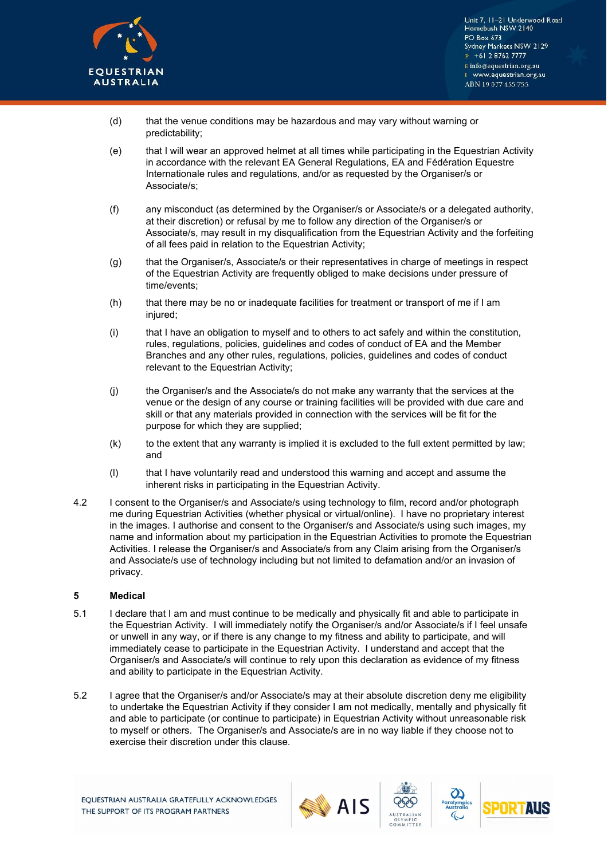

- (d) that the venue conditions may be hazardous and may vary without warning or predictability;
- (e) that I will wear an approved helmet at all times while participating in the Equestrian Activity in accordance with the relevant EA General Regulations, EA and Fédération Equestre Internationale rules and regulations, and/or as requested by the Organiser/s or Associate/s;
- (f) any misconduct (as determined by the Organiser/s or Associate/s or a delegated authority, at their discretion) or refusal by me to follow any direction of the Organiser/s or Associate/s, may result in my disqualification from the Equestrian Activity and the forfeiting of all fees paid in relation to the Equestrian Activity;
- (g) that the Organiser/s, Associate/s or their representatives in charge of meetings in respect of the Equestrian Activity are frequently obliged to make decisions under pressure of time/events;
- (h) that there may be no or inadequate facilities for treatment or transport of me if I am injured;
- (i) that I have an obligation to myself and to others to act safely and within the constitution, rules, regulations, policies, guidelines and codes of conduct of EA and the Member Branches and any other rules, regulations, policies, guidelines and codes of conduct relevant to the Equestrian Activity;
- (j) the Organiser/s and the Associate/s do not make any warranty that the services at the venue or the design of any course or training facilities will be provided with due care and skill or that any materials provided in connection with the services will be fit for the purpose for which they are supplied;
- $(k)$  to the extent that any warranty is implied it is excluded to the full extent permitted by law; and
- (l) that I have voluntarily read and understood this warning and accept and assume the inherent risks in participating in the Equestrian Activity.
- 4.2 I consent to the Organiser/s and Associate/s using technology to film, record and/or photograph me during Equestrian Activities (whether physical or virtual/online). I have no proprietary interest in the images. I authorise and consent to the Organiser/s and Associate/s using such images, my name and information about my participation in the Equestrian Activities to promote the Equestrian Activities. I release the Organiser/s and Associate/s from any Claim arising from the Organiser/s and Associate/s use of technology including but not limited to defamation and/or an invasion of privacy.

### **5 Medical**

- 5.1 I declare that I am and must continue to be medically and physically fit and able to participate in the Equestrian Activity. I will immediately notify the Organiser/s and/or Associate/s if I feel unsafe or unwell in any way, or if there is any change to my fitness and ability to participate, and will immediately cease to participate in the Equestrian Activity. I understand and accept that the Organiser/s and Associate/s will continue to rely upon this declaration as evidence of my fitness and ability to participate in the Equestrian Activity.
- 5.2 I agree that the Organiser/s and/or Associate/s may at their absolute discretion deny me eligibility to undertake the Equestrian Activity if they consider I am not medically, mentally and physically fit and able to participate (or continue to participate) in Equestrian Activity without unreasonable risk to myself or others. The Organiser/s and Associate/s are in no way liable if they choose not to exercise their discretion under this clause.







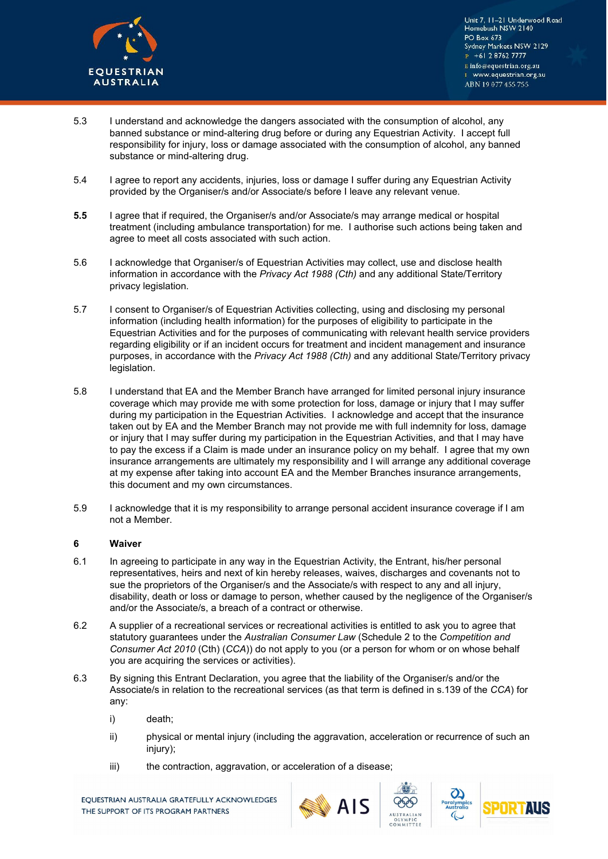

- 5.3 I understand and acknowledge the dangers associated with the consumption of alcohol, any banned substance or mind-altering drug before or during any Equestrian Activity. I accept full responsibility for injury, loss or damage associated with the consumption of alcohol, any banned substance or mind-altering drug.
- 5.4 I agree to report any accidents, injuries, loss or damage I suffer during any Equestrian Activity provided by the Organiser/s and/or Associate/s before I leave any relevant venue.
- **5.5** I agree that if required, the Organiser/s and/or Associate/s may arrange medical or hospital treatment (including ambulance transportation) for me. I authorise such actions being taken and agree to meet all costs associated with such action.
- 5.6 I acknowledge that Organiser/s of Equestrian Activities may collect, use and disclose health information in accordance with the *Privacy Act 1988 (Cth)* and any additional State/Territory privacy legislation.
- 5.7 I consent to Organiser/s of Equestrian Activities collecting, using and disclosing my personal information (including health information) for the purposes of eligibility to participate in the Equestrian Activities and for the purposes of communicating with relevant health service providers regarding eligibility or if an incident occurs for treatment and incident management and insurance purposes, in accordance with the *Privacy Act 1988 (Cth)* and any additional State/Territory privacy legislation.
- 5.8 I understand that EA and the Member Branch have arranged for limited personal injury insurance coverage which may provide me with some protection for loss, damage or injury that I may suffer during my participation in the Equestrian Activities. I acknowledge and accept that the insurance taken out by EA and the Member Branch may not provide me with full indemnity for loss, damage or injury that I may suffer during my participation in the Equestrian Activities, and that I may have to pay the excess if a Claim is made under an insurance policy on my behalf. I agree that my own insurance arrangements are ultimately my responsibility and I will arrange any additional coverage at my expense after taking into account EA and the Member Branches insurance arrangements, this document and my own circumstances.
- 5.9 I acknowledge that it is my responsibility to arrange personal accident insurance coverage if I am not a Member.

# **6 Waiver**

- 6.1 In agreeing to participate in any way in the Equestrian Activity, the Entrant, his/her personal representatives, heirs and next of kin hereby releases, waives, discharges and covenants not to sue the proprietors of the Organiser/s and the Associate/s with respect to any and all injury, disability, death or loss or damage to person, whether caused by the negligence of the Organiser/s and/or the Associate/s, a breach of a contract or otherwise.
- 6.2 A supplier of a recreational services or recreational activities is entitled to ask you to agree that statutory guarantees under the *Australian Consumer Law* (Schedule 2 to the *Competition and Consumer Act 2010* (Cth) (*CCA*)) do not apply to you (or a person for whom or on whose behalf you are acquiring the services or activities).
- 6.3 By signing this Entrant Declaration, you agree that the liability of the Organiser/s and/or the Associate/s in relation to the recreational services (as that term is defined in s.139 of the *CCA*) for any:
	- i) death;
	- ii) physical or mental injury (including the aggravation, acceleration or recurrence of such an injury);
	- iii) the contraction, aggravation, or acceleration of a disease;

EQUESTRIAN AUSTRALIA GRATEFULLY ACKNOWLEDGES THE SUPPORT OF ITS PROGRAM PARTNERS





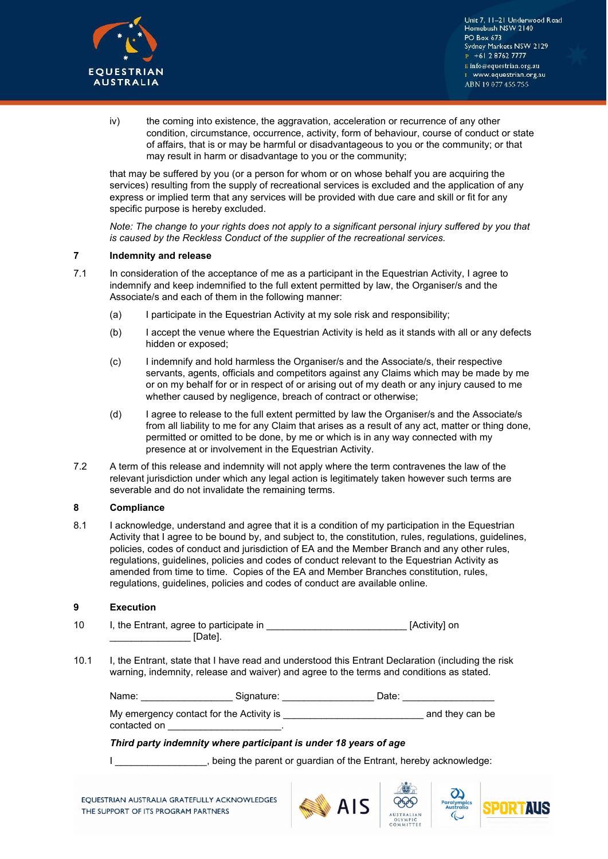

iv) the coming into existence, the aggravation, acceleration or recurrence of any other condition, circumstance, occurrence, activity, form of behaviour, course of conduct or state of affairs, that is or may be harmful or disadvantageous to you or the community; or that may result in harm or disadvantage to you or the community;

that may be suffered by you (or a person for whom or on whose behalf you are acquiring the services) resulting from the supply of recreational services is excluded and the application of any express or implied term that any services will be provided with due care and skill or fit for any specific purpose is hereby excluded.

*Note: The change to your rights does not apply to a significant personal injury suffered by you that is caused by the Reckless Conduct of the supplier of the recreational services.* 

#### **7 Indemnity and release**

- 7.1 In consideration of the acceptance of me as a participant in the Equestrian Activity, I agree to indemnify and keep indemnified to the full extent permitted by law, the Organiser/s and the Associate/s and each of them in the following manner:
	- (a) I participate in the Equestrian Activity at my sole risk and responsibility;
	- (b) I accept the venue where the Equestrian Activity is held as it stands with all or any defects hidden or exposed;
	- (c) I indemnify and hold harmless the Organiser/s and the Associate/s, their respective servants, agents, officials and competitors against any Claims which may be made by me or on my behalf for or in respect of or arising out of my death or any injury caused to me whether caused by negligence, breach of contract or otherwise;
	- (d) I agree to release to the full extent permitted by law the Organiser/s and the Associate/s from all liability to me for any Claim that arises as a result of any act, matter or thing done, permitted or omitted to be done, by me or which is in any way connected with my presence at or involvement in the Equestrian Activity.
- 7.2 A term of this release and indemnity will not apply where the term contravenes the law of the relevant jurisdiction under which any legal action is legitimately taken however such terms are severable and do not invalidate the remaining terms.

### **8 Compliance**

8.1 I acknowledge, understand and agree that it is a condition of my participation in the Equestrian Activity that I agree to be bound by, and subject to, the constitution, rules, regulations, guidelines, policies, codes of conduct and jurisdiction of EA and the Member Branch and any other rules, regulations, guidelines, policies and codes of conduct relevant to the Equestrian Activity as amended from time to time. Copies of the EA and Member Branches constitution, rules, regulations, guidelines, policies and codes of conduct are available online.

## **9 Execution**

- 10 I, the Entrant, agree to participate in **Entrance in** [Activity] on \_\_\_\_\_\_\_\_\_\_\_\_\_\_\_ [Date].
- 10.1 I, the Entrant, state that I have read and understood this Entrant Declaration (including the risk warning, indemnity, release and waiver) and agree to the terms and conditions as stated.

| Signature: | Date:                                    |                 |
|------------|------------------------------------------|-----------------|
|            |                                          | and they can be |
|            | My emergency contact for the Activity is |                 |

### *Third party indemnity where participant is under 18 years of age*

I computed being the parent or guardian of the Entrant, hereby acknowledge: